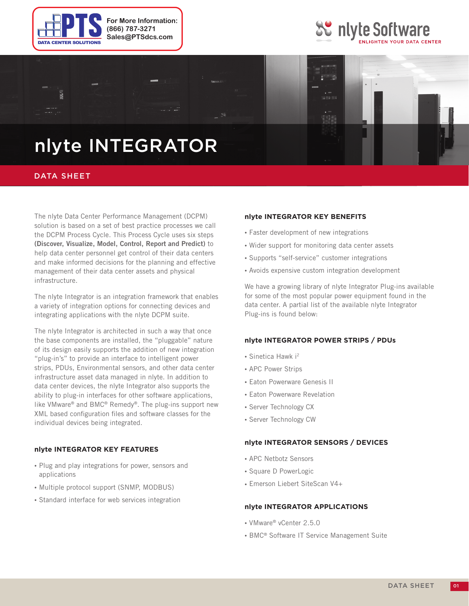





## nlyte INTEGRATOR

### DATA SHEET

The nlyte Data Center Performance Management (DCPM) solution is based on a set of best practice processes we call the DCPM Process Cycle. This Process Cycle uses six steps **(Discover, Visualize, Model, Control, Report and Predict)** to help data center personnel get control of their data centers and make informed decisions for the planning and effective management of their data center assets and physical infrastructure.

The nlyte Integrator is an integration framework that enables a variety of integration options for connecting devices and integrating applications with the nlyte DCPM suite.

The nlyte Integrator is architected in such a way that once the base components are installed, the "pluggable" nature of its design easily supports the addition of new integration "plug-in's" to provide an interface to intelligent power strips, PDUs, Environmental sensors, and other data center infrastructure asset data managed in nlyte. In addition to data center devices, the nlyte Integrator also supports the ability to plug-in interfaces for other software applications, like VMware® and BMC® Remedy®. The plug-ins support new XML based configuration files and software classes for the individual devices being integrated.

#### **nlyte Integrator Key Features**

- Plug and play integrations for power, sensors and applications
- Multiple protocol support (SNMP, MODBUS)
- Standard interface for web services integration

#### **nlyte Integrator Key Benefits**

- Faster development of new integrations
- Wider support for monitoring data center assets
- Supports "self-service" customer integrations
- Avoids expensive custom integration development

We have a growing library of nlyte Integrator Plug-ins available for some of the most popular power equipment found in the data center. A partial list of the available nlyte Integrator Plug-ins is found below:

#### **nlyte Integrator Power Strips / PDUs**

- $\bullet$  Sinetica Hawk i<sup>2</sup>
- APC Power Strips
- Eaton Powerware Genesis II
- Eaton Powerware Revelation
- Server Technology CX
- Server Technology CW

#### **nlyte Integrator Sensors / Devices**

- APC Netbotz Sensors
- • Square D PowerLogic
- • Emerson Liebert SiteScan V4+

#### **nlyte Integrator Applications**

- VMware® vCenter 2.5.0
- BMC<sup>®</sup> Software IT Service Management Suite

01